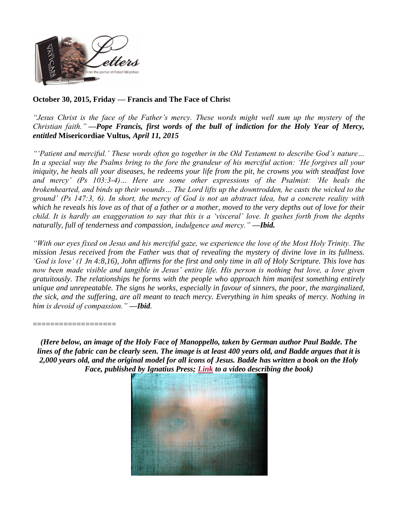

## **October 30, 2015, Friday — Francis and The Face of Chris**t

*"Jesus Christ is the face of the Father's mercy. These words might well sum up the mystery of the Christian faith." —Pope Francis, first words of the bull of indiction for the Holy Year of Mercy, entitled* **Misericordiae Vultus***, April 11, 2015*

*"'Patient and merciful.' These words often go together in the Old Testament to describe God's nature… In a special way the Psalms bring to the fore the grandeur of his merciful action: 'He forgives all your iniquity, he heals all your diseases, he redeems your life from the pit, he crowns you with steadfast love and mercy' (Ps 103:3-4)… Here are some other expressions of the Psalmist: 'He heals the brokenhearted, and binds up their wounds… The Lord lifts up the downtrodden, he casts the wicked to the ground' (Ps 147:3, 6). In short, the mercy of God is not an abstract idea, but a concrete reality with which he reveals his love as of that of a father or a mother, moved to the very depths out of love for their child. It is hardly an exaggeration to say that this is a 'visceral' love. It gushes forth from the depths naturally, full of tenderness and compassion, indulgence and mercy." —Ibid.*

*"With our eyes fixed on Jesus and his merciful gaze, we experience the love of the Most Holy Trinity. The mission Jesus received from the Father was that of revealing the mystery of divine love in its fullness. 'God is love' (1 Jn 4:8,16), John affirms for the first and only time in all of Holy Scripture. This love has now been made visible and tangible in Jesus' entire life. His person is nothing but love, a love given gratuitously. The relationships he forms with the people who approach him manifest something entirely unique and unrepeatable. The signs he works, especially in favour of sinners, the poor, the marginalized, the sick, and the suffering, are all meant to teach mercy. Everything in him speaks of mercy. Nothing in him is devoid of compassion." —Ibid.*

===================

*(Here below, an image of the Holy Face of Manoppello, taken by German author Paul Badde. The lines of the fabric can be clearly seen. The image is at least 400 years old, and Badde argues that it is 2,000 years old, and the original model for all icons of Jesus. Badde has written a book on the Holy Face, published by Ignatius Press; [Link](https://www.facebook.com/video.php?v=445514636953) to a video describing the book)*

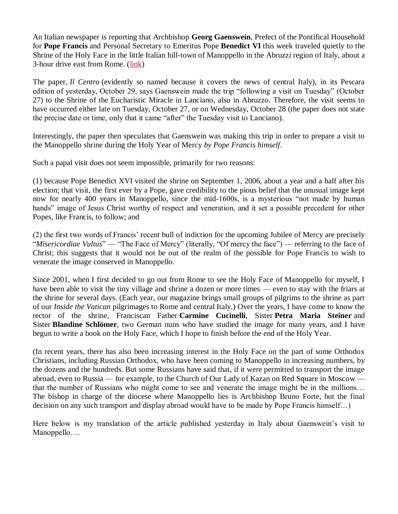An Italian newspaper is reporting that Archbishop **Georg Gaenswein**, Prefect of the Pontifical Household for **Pope Francis** and Personal Secretary to Emeritus Pope **Benedict VI** this week traveled quietly to the Shrine of the Holy Face in the little Italian hill-town of Manoppello in the Abruzzi region of Italy, about a 3-hour drive east from Rome. [\(link\)](http://ilcentro.gelocal.it/pescara/cronaca/2015/10/29/news/padre-georg-in-abruzzo-prepara-l-arrivo-di-francesco-1.12351895)

The paper, *Il Centro* (evidently so named because it covers the news of central Italy), in its Pescara edition of yesterday, October 29, says Gaenswein made the trip "following a visit on Tuesday" (October 27) to the Shrine of the Eucharistic Miracle in Lanciano, also in Abruzzo. Therefore, the visit seems to have occurred either late on Tuesday, October 27, or on Wednesday, October 28 (the paper does not state the precise date or time, only that it came "after" the Tuesday visit to Lanciano).

Interestingly, the paper then speculates that Gaenswein was making this trip in order to prepare a visit to the Manoppello shrine during the Holy Year of Mercy *by Pope Francis himself*.

Such a papal visit does not seem impossible, primarily for two reasons:

(1) because Pope Benedict XVI visited the shrine on September 1, 2006, about a year and a half after his election; that visit, the first ever by a Pope, gave credibility to the pious belief that the unusual image kept now for nearly 400 years in Manoppello, since the mid-1600s, is a mysterious "not made by human hands" image of Jesus Christ worthy of respect and veneration, and it set a possible precedent for other Popes, like Francis, to follow; and

(2) the first two words of Francis' recent bull of indiction for the upcoming Jubilee of Mercy are precisely "*Misericordiae Vultus*" — "The Face of Mercy" (literally, "Of mercy the face") — referring to the face of Christ; this suggests that it would not be out of the realm of the possible for Pope Francis to wish to venerate the image conserved in Manoppello.

Since 2001, when I first decided to go out from Rome to see the Holy Face of Manoppello for myself, I have been able to visit the tiny village and shrine a dozen or more times — even to stay with the friars at the shrine for several days. (Each year, our magazine brings small groups of pilgrims to the shrine as part of our *Inside the Vatican* pilgrimages to Rome and central Italy.) Over the years, I have come to know the rector of the shrine, Franciscan Father **Carmine Cucinelli**, Sister **Petra Maria Steiner** and Sister **Blandine Schlömer**, two German nuns who have studied the image for many years, and I have begun to write a book on the Holy Face, which I hope to finish before the end of the Holy Year.

(In recent years, there has also been increasing interest in the Holy Face on the part of some Orthodox Christians, including Russian Orthodox, who have been coming to Manoppello in increasing numbers, by the dozens and the hundreds. But some Russians have said that, if it were permitted to transport the image abroad, even to Russia — for example, to the Church of Our Lady of Kazan on Red Square in Moscow that the number of Russians who might come to see and venerate the image might be in the millions… The bishop in charge of the diocese where Manoppello lies is Archbishop Bruno Forte, but the final decision on any such transport and display abroad would have to be made by Pope Francis himself…)

Here below is my translation of the article published yesterday in Italy about Gaenswein's visit to Manoppello….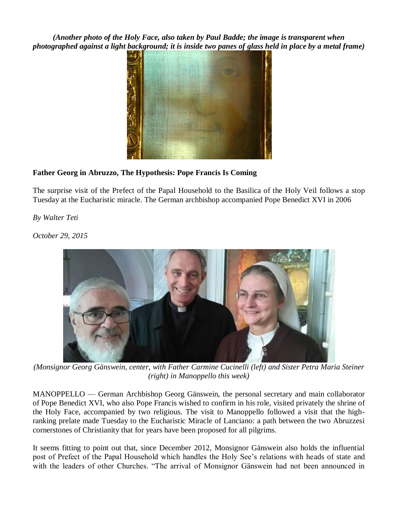*(Another photo of the Holy Face, also taken by Paul Badde; the image is transparent when photographed against a light background; it is inside two panes of glass held in place by a metal frame)*



## **Father Georg in Abruzzo, The Hypothesis: Pope Francis Is Coming**

The surprise visit of the Prefect of the Papal Household to the Basilica of the Holy Veil follows a stop Tuesday at the Eucharistic miracle. The German archbishop accompanied Pope Benedict XVI in 2006

*By Walter Teti*

*October 29, 2015*



*(Monsignor Georg Gänswein, center, with Father Carmine Cucinelli (left) and Sister Petra Maria Steiner (right) in Manoppello this week)*

MANOPPELLO — German Archbishop Georg Gänswein, the personal secretary and main collaborator of Pope Benedict XVI, who also Pope Francis wished to confirm in his role, visited privately the shrine of the Holy Face, accompanied by two religious. The visit to Manoppello followed a visit that the highranking prelate made Tuesday to the Eucharistic Miracle of Lanciano: a path between the two Abruzzesi cornerstones of Christianity that for years have been proposed for all pilgrims.

It seems fitting to point out that, since December 2012, Monsignor Gänswein also holds the influential post of Prefect of the Papal Household which handles the Holy See's relations with heads of state and with the leaders of other Churches. "The arrival of Monsignor Gänswein had not been announced in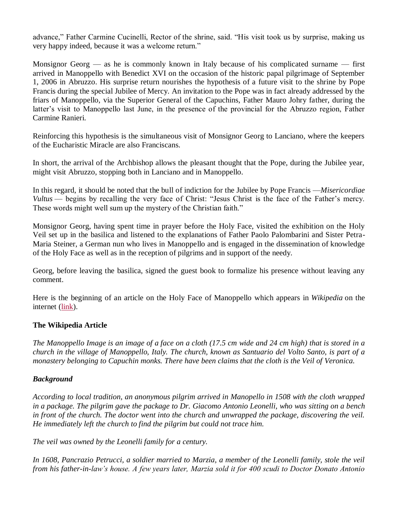advance," Father Carmine Cucinelli, Rector of the shrine, said. "His visit took us by surprise, making us very happy indeed, because it was a welcome return."

Monsignor Georg — as he is commonly known in Italy because of his complicated surname — first arrived in Manoppello with Benedict XVI on the occasion of the historic papal pilgrimage of September 1, 2006 in Abruzzo. His surprise return nourishes the hypothesis of a future visit to the shrine by Pope Francis during the special Jubilee of Mercy. An invitation to the Pope was in fact already addressed by the friars of Manoppello, via the Superior General of the Capuchins, Father Mauro Johry father, during the latter's visit to Manoppello last June, in the presence of the provincial for the Abruzzo region, Father Carmine Ranieri.

Reinforcing this hypothesis is the simultaneous visit of Monsignor Georg to Lanciano, where the keepers of the Eucharistic Miracle are also Franciscans.

In short, the arrival of the Archbishop allows the pleasant thought that the Pope, during the Jubilee year, might visit Abruzzo, stopping both in Lanciano and in Manoppello.

In this regard, it should be noted that the bull of indiction for the Jubilee by Pope Francis —*Misericordiae Vultus* — begins by recalling the very face of Christ: "Jesus Christ is the face of the Father's mercy. These words might well sum up the mystery of the Christian faith."

Monsignor Georg, having spent time in prayer before the Holy Face, visited the exhibition on the Holy Veil set up in the basilica and listened to the explanations of Father Paolo Palombarini and Sister Petra-Maria Steiner, a German nun who lives in Manoppello and is engaged in the dissemination of knowledge of the Holy Face as well as in the reception of pilgrims and in support of the needy.

Georg, before leaving the basilica, signed the guest book to formalize his presence without leaving any comment.

Here is the beginning of an article on the Holy Face of Manoppello which appears in *Wikipedia* on the internet [\(link\)](https://en.wikipedia.org/wiki/Manoppello_Image).

## **The Wikipedia Article**

*The Manoppello Image is an image of a face on a cloth (17.5 cm wide and 24 cm high) that is stored in a church in the village of Manoppello, Italy. The church, known as Santuario del Volto Santo, is part of a monastery belonging to Capuchin monks. There have been claims that the cloth is the Veil of Veronica.*

## *Background*

*According to local tradition, an anonymous pilgrim arrived in Manopello in 1508 with the cloth wrapped in a package. The pilgrim gave the package to Dr. Giacomo Antonio Leonelli, who was sitting on a bench in front of the church. The doctor went into the church and unwrapped the package, discovering the veil. He immediately left the church to find the pilgrim but could not trace him.*

*The veil was owned by the Leonelli family for a century.*

*In 1608, Pancrazio Petrucci, a soldier married to Marzia, a member of the Leonelli family, stole the veil from his father-in-law's house. A few years later, Marzia sold it for 400 scudi to Doctor Donato Antonio*